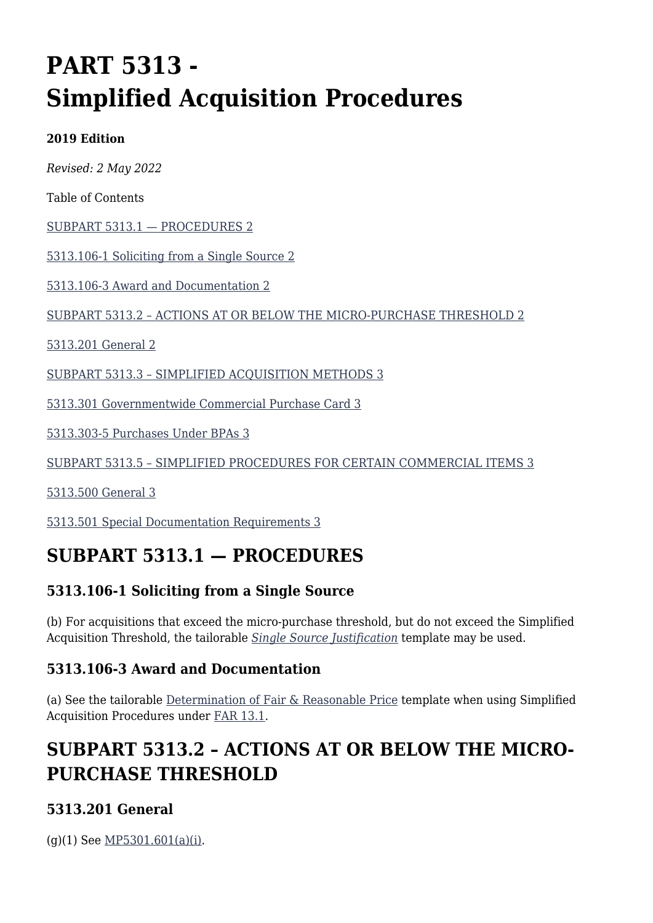# **PART 5313 - Simplified Acquisition Procedures**

#### **2019 Edition**

*Revised: 2 May 2022*

Table of Contents

[SUBPART 5313.1 — PROCEDURES 2](#page--1-0)

[5313.106-1 Soliciting from a Single Source 2](#page--1-0)

[5313.106-3 Award and Documentation 2](#page--1-0)

[SUBPART 5313.2 – ACTIONS AT OR BELOW THE MICRO-PURCHASE THRESHOLD 2](#page--1-0)

[5313.201 General 2](#page--1-0)

[SUBPART 5313.3 – SIMPLIFIED ACQUISITION METHODS 3](#page--1-0)

[5313.301 Governmentwide Commercial Purchase Card 3](#page--1-0)

[5313.303-5 Purchases Under BPAs 3](#page--1-0)

[SUBPART 5313.5 – SIMPLIFIED PROCEDURES FOR CERTAIN COMMERCIAL ITEMS 3](#page--1-0)

[5313.500 General 3](#page--1-0)

[5313.501 Special Documentation Requirements 3](#page--1-0)

## **SUBPART 5313.1 — PROCEDURES**

### **5313.106-1 Soliciting from a Single Source**

(b) For acquisitions that exceed the micro-purchase threshold, but do not exceed the Simplified Acquisition Threshold, the tailorable *[Single Source Justification](https://usaf.dps.mil/sites/AFCC/KnowledgeCenter/contracting_templates/single_source_justification.pdf)* template may be used.

#### **5313.106-3 Award and Documentation**

(a) See the tailorable [Determination of Fair & Reasonable Price](https://usaf.dps.mil/sites/AFCC/KnowledgeCenter/contracting_templates/determination_of_fair_and_reasonable_price.pdf) template when using Simplified Acquisition Procedures under [FAR 13.1.](https://www.acquisition.gov/far/part-13#FAR_Subpart_13_1)

# **SUBPART 5313.2 – ACTIONS AT OR BELOW THE MICRO-PURCHASE THRESHOLD**

### **5313.201 General**

(g)(1) See [MP5301.601\(a\)\(i\).](https://origin-www.acquisition.gov/%5Brp:link:affars-mp-AFFARS-MP_PART-mp_5301.601(a)(i)%5D#p5313201g1)